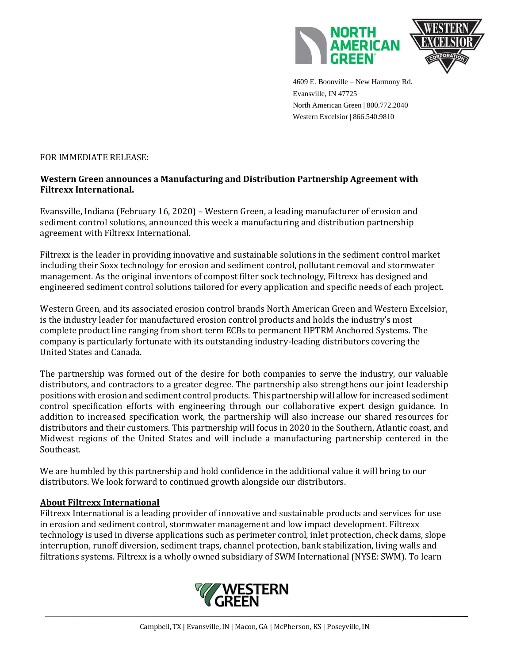



 4609 E. Boonville – New Harmony Rd. Evansville, IN 47725 North American Green | 800.772.2040 Western Excelsior | 866.540.9810

## FOR IMMEDIATE RELEASE:

## **Western Green announces a Manufacturing and Distribution Partnership Agreement with Filtrexx International.**

Evansville, Indiana (February 16, 2020) – Western Green, a leading manufacturer of erosion and sediment control solutions, announced this week a manufacturing and distribution partnership agreement with Filtrexx International.

Filtrexx is the leader in providing innovative and sustainable solutions in the sediment control market including their Soxx technology for erosion and sediment control, pollutant removal and stormwater management. As the original inventors of compost filter sock technology, Filtrexx has designed and engineered sediment control solutions tailored for every application and specific needs of each project.

Western Green, and its associated erosion control brands North American Green and Western Excelsior, is the industry leader for manufactured erosion control products and holds the industry's most complete product line ranging from short term ECBs to permanent HPTRM Anchored Systems. The company is particularly fortunate with its outstanding industry-leading distributors covering the United States and Canada.

The partnership was formed out of the desire for both companies to serve the industry, our valuable distributors, and contractors to a greater degree. The partnership also strengthens our joint leadership positions with erosion and sediment control products. This partnership will allow for increased sediment control specification efforts with engineering through our collaborative expert design guidance. In addition to increased specification work, the partnership will also increase our shared resources for distributors and their customers. This partnership will focus in 2020 in the Southern, Atlantic coast, and Midwest regions of the United States and will include a manufacturing partnership centered in the Southeast.

We are humbled by this partnership and hold confidence in the additional value it will bring to our distributors. We look forward to continued growth alongside our distributors.

## **About Filtrexx International**

Filtrexx International is a leading provider of innovative and sustainable products and services for use in erosion and sediment control, stormwater management and low impact development. Filtrexx technology is used in diverse applications such as perimeter control, inlet protection, check dams, slope interruption, runoff diversion, sediment traps, channel protection, bank stabilization, living walls and filtrations systems. Filtrexx is a wholly owned subsidiary of SWM International (NYSE: SWM). To learn